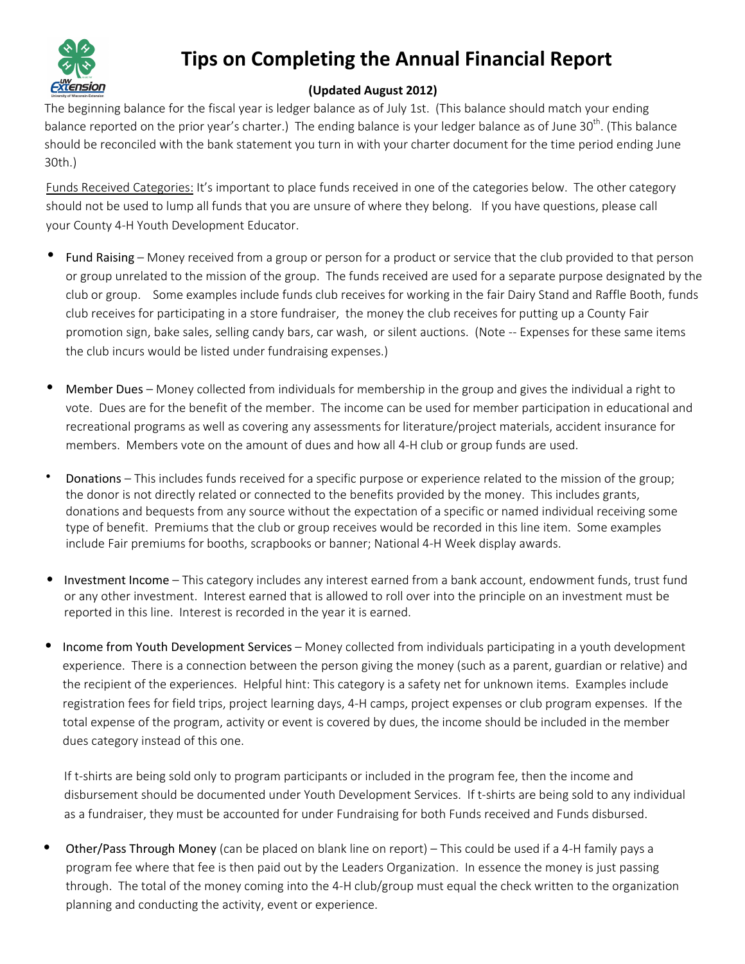

## **Tips on Completing the Annual Financial Report**

## (Updated August 2012)

The beginning balance for the fiscal year is ledger balance as of July 1st. (This balance should match your ending balance reported on the prior year's charter.) The ending balance is your ledger balance as of June 30<sup>th</sup>. (This balance should be reconciled with the bank statement you turn in with your charter document for the time period ending June 30th.)

Funds Received Categories: It's important to place funds received in one of the categories below. The other category should not be used to lump all funds that you are unsure of where they belong. If you have questions, please call your County 4-H Youth Development Educator.

- Fund Raising Money received from a group or person for a product or service that the club provided to that person or group unrelated to the mission of the group. The funds received are used for a separate purpose designated by the club or group. Some examples include funds club receives for working in the fair Dairy Stand and Raffle Booth, funds club receives for participating in a store fundraiser, the money the club receives for putting up a County Fair promotion sign, bake sales, selling candy bars, car wash, or silent auctions. (Note -- Expenses for these same items the club incurs would be listed under fundraising expenses.)
- Member Dues Money collected from individuals for membership in the group and gives the individual a right to vote. Dues are for the benefit of the member. The income can be used for member participation in educational and recreational programs as well as covering any assessments for literature/project materials, accident insurance for members. Members vote on the amount of dues and how all 4-H club or group funds are used.
- Donations This includes funds received for a specific purpose or experience related to the mission of the group; the donor is not directly related or connected to the benefits provided by the money. This includes grants, donations and bequests from any source without the expectation of a specific or named individual receiving some type of benefit. Premiums that the club or group receives would be recorded in this line item. Some examples include Fair premiums for booths, scrapbooks or banner; National 4-H Week display awards.
- Investment Income This category includes any interest earned from a bank account, endowment funds, trust fund or any other investment. Interest earned that is allowed to roll over into the principle on an investment must be reported in this line. Interest is recorded in the year it is earned.
- Income from Youth Development Services Money collected from individuals participating in a youth development experience. There is a connection between the person giving the money (such as a parent, guardian or relative) and the recipient of the experiences. Helpful hint: This category is a safety net for unknown items. Examples include registration fees for field trips, project learning days, 4-H camps, project expenses or club program expenses. If the total expense of the program, activity or event is covered by dues, the income should be included in the member dues category instead of this one.

If t-shirts are being sold only to program participants or included in the program fee, then the income and disbursement should be documented under Youth Development Services. If t-shirts are being sold to any individual as a fundraiser, they must be accounted for under Fundraising for both Funds received and Funds disbursed.

• Other/Pass Through Money (can be placed on blank line on report) – This could be used if a 4-H family pays a program fee where that fee is then paid out by the Leaders Organization. In essence the money is just passing through. The total of the money coming into the 4-H club/group must equal the check written to the organization planning and conducting the activity, event or experience.